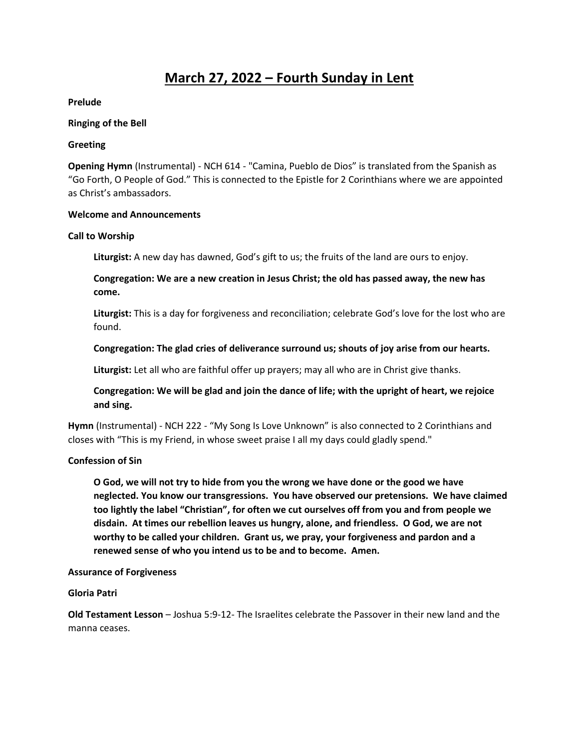# **March 27, 2022 – Fourth Sunday in Lent**

### **Prelude**

#### **Ringing of the Bell**

#### **Greeting**

**Opening Hymn** (Instrumental) - NCH 614 - "Camina, Pueblo de Dios" is translated from the Spanish as "Go Forth, O People of God." This is connected to the Epistle for 2 Corinthians where we are appointed as Christ's ambassadors.

#### **Welcome and Announcements**

#### **Call to Worship**

**Liturgist:** A new day has dawned, God's gift to us; the fruits of the land are ours to enjoy.

**Congregation: We are a new creation in Jesus Christ; the old has passed away, the new has come.** 

**Liturgist:** This is a day for forgiveness and reconciliation; celebrate God's love for the lost who are found.

# **Congregation: The glad cries of deliverance surround us; shouts of joy arise from our hearts.**

**Liturgist:** Let all who are faithful offer up prayers; may all who are in Christ give thanks.

# **Congregation: We will be glad and join the dance of life; with the upright of heart, we rejoice and sing.**

Hymn (Instrumental) - NCH 222 - "My Song Is Love Unknown" is also connected to 2 Corinthians and closes with "This is my Friend, in whose sweet praise I all my days could gladly spend."

# **Confession of Sin**

**O God, we will not try to hide from you the wrong we have done or the good we have neglected. You know our transgressions. You have observed our pretensions. We have claimed too lightly the label "Christian", for often we cut ourselves off from you and from people we disdain. At times our rebellion leaves us hungry, alone, and friendless. O God, we are not worthy to be called your children. Grant us, we pray, your forgiveness and pardon and a renewed sense of who you intend us to be and to become. Amen.** 

#### **Assurance of Forgiveness**

# **Gloria Patri**

**Old Testament Lesson** – Joshua 5:9-12- The Israelites celebrate the Passover in their new land and the manna ceases.